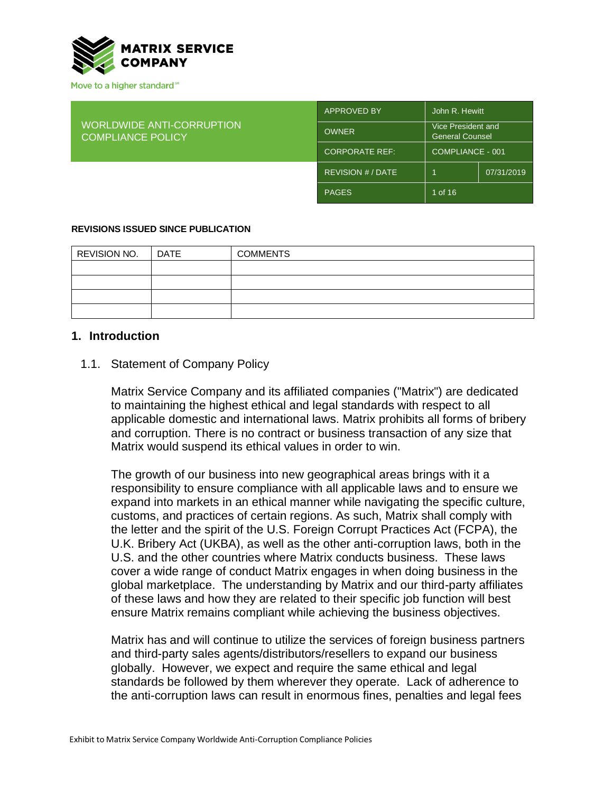

| <b>WORLDWIDE ANTI-CORRUPTION</b><br><b>COMPLIANCE POLICY</b> | <b>APPROVED BY</b>    | John R. Hewitt                               |            |
|--------------------------------------------------------------|-----------------------|----------------------------------------------|------------|
|                                                              | <b>OWNER</b>          | Vice President and<br><b>General Counsel</b> |            |
|                                                              | <b>CORPORATE REF:</b> | COMPLIANCE - 001                             |            |
|                                                              | REVISION # / DATE     |                                              | 07/31/2019 |
|                                                              | <b>PAGES</b>          | 1 of 16                                      |            |

#### **REVISIONS ISSUED SINCE PUBLICATION**

| <b>REVISION NO.</b> | <b>DATE</b> | <b>COMMENTS</b> |
|---------------------|-------------|-----------------|
|                     |             |                 |
|                     |             |                 |
|                     |             |                 |
|                     |             |                 |

#### **1. Introduction**

#### 1.1. Statement of Company Policy

Matrix Service Company and its affiliated companies ("Matrix") are dedicated to maintaining the highest ethical and legal standards with respect to all applicable domestic and international laws. Matrix prohibits all forms of bribery and corruption. There is no contract or business transaction of any size that Matrix would suspend its ethical values in order to win.

The growth of our business into new geographical areas brings with it a responsibility to ensure compliance with all applicable laws and to ensure we expand into markets in an ethical manner while navigating the specific culture, customs, and practices of certain regions. As such, Matrix shall comply with the letter and the spirit of the U.S. Foreign Corrupt Practices Act (FCPA), the U.K. Bribery Act (UKBA), as well as the other anti-corruption laws, both in the U.S. and the other countries where Matrix conducts business. These laws cover a wide range of conduct Matrix engages in when doing business in the global marketplace. The understanding by Matrix and our third-party affiliates of these laws and how they are related to their specific job function will best ensure Matrix remains compliant while achieving the business objectives.

Matrix has and will continue to utilize the services of foreign business partners and third-party sales agents/distributors/resellers to expand our business globally. However, we expect and require the same ethical and legal standards be followed by them wherever they operate. Lack of adherence to the anti-corruption laws can result in enormous fines, penalties and legal fees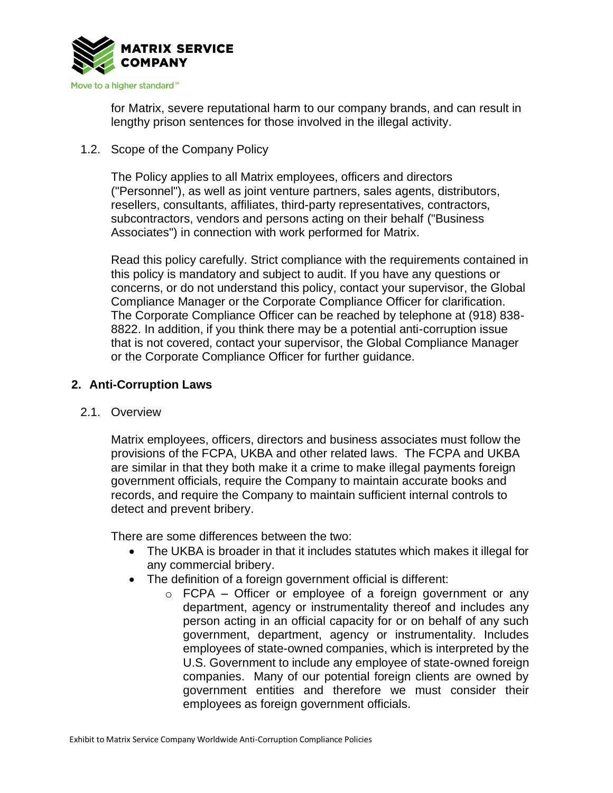

for Matrix, severe reputational harm to our company brands, and can result in lengthy prison sentences for those involved in the illegal activity.

1.2. Scope of the Company Policy

The Policy applies to all Matrix employees, officers and directors ("Personnel"), as well as joint venture partners, sales agents, distributors, resellers, consultants, affiliates, third-party representatives, contractors, subcontractors, vendors and persons acting on their behalf ("Business Associates") in connection with work performed for Matrix.

Read this policy carefully. Strict compliance with the requirements contained in this policy is mandatory and subject to audit. If you have any questions or concerns, or do not understand this policy, contact your supervisor, the Global Compliance Manager or the Corporate Compliance Officer for clarification. The Corporate Compliance Officer can be reached by telephone at (918) 838- 8822. In addition, if you think there may be a potential anti-corruption issue that is not covered, contact your supervisor, the Global Compliance Manager or the Corporate Compliance Officer for further guidance.

# **2. Anti-Corruption Laws**

# 2.1. Overview

Matrix employees, officers, directors and business associates must follow the provisions of the FCPA, UKBA and other related laws. The FCPA and UKBA are similar in that they both make it a crime to make illegal payments foreign government officials, require the Company to maintain accurate books and records, and require the Company to maintain sufficient internal controls to detect and prevent bribery.

There are some differences between the two:

- The UKBA is broader in that it includes statutes which makes it illegal for any commercial bribery.
- The definition of a foreign government official is different:
	- o FCPA Officer or employee of a foreign government or any department, agency or instrumentality thereof and includes any person acting in an official capacity for or on behalf of any such government, department, agency or instrumentality. Includes employees of state-owned companies, which is interpreted by the U.S. Government to include any employee of state-owned foreign companies. Many of our potential foreign clients are owned by government entities and therefore we must consider their employees as foreign government officials.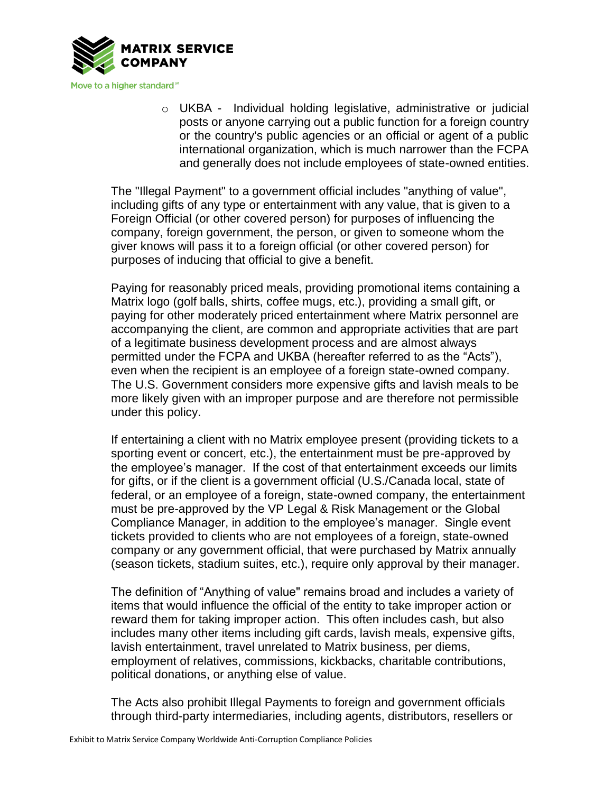

o UKBA - Individual holding legislative, administrative or judicial posts or anyone carrying out a public function for a foreign country or the country's public agencies or an official or agent of a public international organization, which is much narrower than the FCPA and generally does not include employees of state-owned entities.

The "Illegal Payment" to a government official includes "anything of value", including gifts of any type or entertainment with any value, that is given to a Foreign Official (or other covered person) for purposes of influencing the company, foreign government, the person, or given to someone whom the giver knows will pass it to a foreign official (or other covered person) for purposes of inducing that official to give a benefit.

Paying for reasonably priced meals, providing promotional items containing a Matrix logo (golf balls, shirts, coffee mugs, etc.), providing a small gift, or paying for other moderately priced entertainment where Matrix personnel are accompanying the client, are common and appropriate activities that are part of a legitimate business development process and are almost always permitted under the FCPA and UKBA (hereafter referred to as the "Acts"), even when the recipient is an employee of a foreign state-owned company. The U.S. Government considers more expensive gifts and lavish meals to be more likely given with an improper purpose and are therefore not permissible under this policy.

If entertaining a client with no Matrix employee present (providing tickets to a sporting event or concert, etc.), the entertainment must be pre-approved by the employee's manager. If the cost of that entertainment exceeds our limits for gifts, or if the client is a government official (U.S./Canada local, state of federal, or an employee of a foreign, state-owned company, the entertainment must be pre-approved by the VP Legal & Risk Management or the Global Compliance Manager, in addition to the employee's manager. Single event tickets provided to clients who are not employees of a foreign, state-owned company or any government official, that were purchased by Matrix annually (season tickets, stadium suites, etc.), require only approval by their manager.

The definition of "Anything of value" remains broad and includes a variety of items that would influence the official of the entity to take improper action or reward them for taking improper action. This often includes cash, but also includes many other items including gift cards, lavish meals, expensive gifts, lavish entertainment, travel unrelated to Matrix business, per diems, employment of relatives, commissions, kickbacks, charitable contributions, political donations, or anything else of value.

The Acts also prohibit Illegal Payments to foreign and government officials through third-party intermediaries, including agents, distributors, resellers or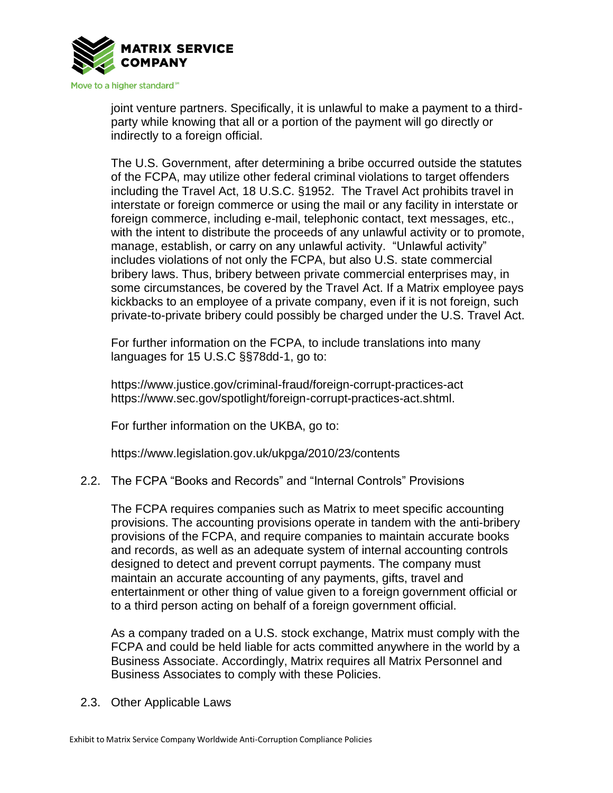

joint venture partners. Specifically, it is unlawful to make a payment to a thirdparty while knowing that all or a portion of the payment will go directly or indirectly to a foreign official.

The U.S. Government, after determining a bribe occurred outside the statutes of the FCPA, may utilize other federal criminal violations to target offenders including the Travel Act, 18 U.S.C. §1952. The Travel Act prohibits travel in interstate or foreign commerce or using the mail or any facility in interstate or foreign commerce, including e-mail, telephonic contact, text messages, etc., with the intent to distribute the proceeds of any unlawful activity or to promote, manage, establish, or carry on any unlawful activity. "Unlawful activity" includes violations of not only the FCPA, but also U.S. state commercial bribery laws. Thus, bribery between private commercial enterprises may, in some circumstances, be covered by the Travel Act. If a Matrix employee pays kickbacks to an employee of a private company, even if it is not foreign, such private-to-private bribery could possibly be charged under the U.S. Travel Act.

For further information on the FCPA, to include translations into many languages for 15 U.S.C §§78dd-1, go to:

https://www.justice.gov/criminal-fraud/foreign-corrupt-practices-act https://www.sec.gov/spotlight/foreign-corrupt-practices-act.shtml.

For further information on the UKBA, go to:

https://www.legislation.gov.uk/ukpga/2010/23/contents

# 2.2. The FCPA "Books and Records" and "Internal Controls" Provisions

The FCPA requires companies such as Matrix to meet specific accounting provisions. The accounting provisions operate in tandem with the anti-bribery provisions of the FCPA, and require companies to maintain accurate books and records, as well as an adequate system of internal accounting controls designed to detect and prevent corrupt payments. The company must maintain an accurate accounting of any payments, gifts, travel and entertainment or other thing of value given to a foreign government official or to a third person acting on behalf of a foreign government official.

As a company traded on a U.S. stock exchange, Matrix must comply with the FCPA and could be held liable for acts committed anywhere in the world by a Business Associate. Accordingly, Matrix requires all Matrix Personnel and Business Associates to comply with these Policies.

2.3. Other Applicable Laws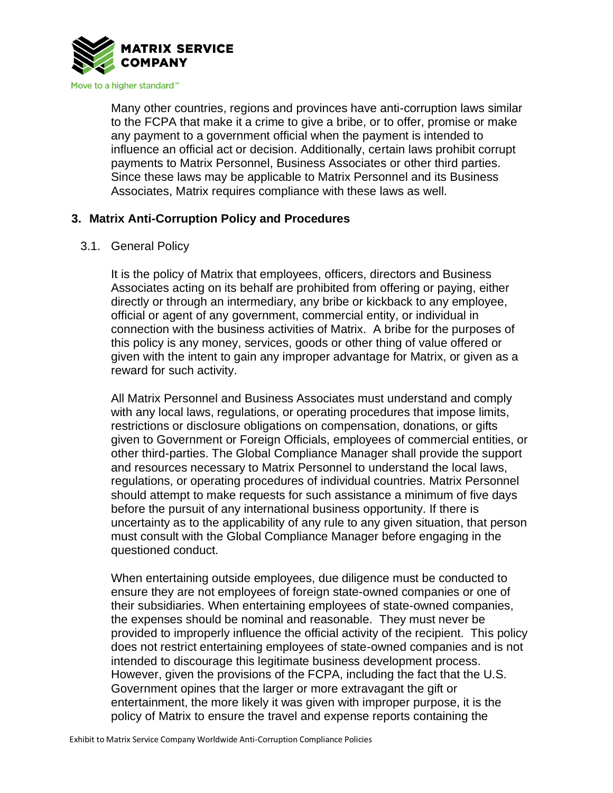

Many other countries, regions and provinces have anti-corruption laws similar to the FCPA that make it a crime to give a bribe, or to offer, promise or make any payment to a government official when the payment is intended to influence an official act or decision. Additionally, certain laws prohibit corrupt payments to Matrix Personnel, Business Associates or other third parties. Since these laws may be applicable to Matrix Personnel and its Business Associates, Matrix requires compliance with these laws as well.

# **3. Matrix Anti-Corruption Policy and Procedures**

#### 3.1. General Policy

It is the policy of Matrix that employees, officers, directors and Business Associates acting on its behalf are prohibited from offering or paying, either directly or through an intermediary, any bribe or kickback to any employee, official or agent of any government, commercial entity, or individual in connection with the business activities of Matrix. A bribe for the purposes of this policy is any money, services, goods or other thing of value offered or given with the intent to gain any improper advantage for Matrix, or given as a reward for such activity.

All Matrix Personnel and Business Associates must understand and comply with any local laws, regulations, or operating procedures that impose limits, restrictions or disclosure obligations on compensation, donations, or gifts given to Government or Foreign Officials, employees of commercial entities, or other third-parties. The Global Compliance Manager shall provide the support and resources necessary to Matrix Personnel to understand the local laws, regulations, or operating procedures of individual countries. Matrix Personnel should attempt to make requests for such assistance a minimum of five days before the pursuit of any international business opportunity. If there is uncertainty as to the applicability of any rule to any given situation, that person must consult with the Global Compliance Manager before engaging in the questioned conduct.

When entertaining outside employees, due diligence must be conducted to ensure they are not employees of foreign state-owned companies or one of their subsidiaries. When entertaining employees of state-owned companies, the expenses should be nominal and reasonable. They must never be provided to improperly influence the official activity of the recipient. This policy does not restrict entertaining employees of state-owned companies and is not intended to discourage this legitimate business development process. However, given the provisions of the FCPA, including the fact that the U.S. Government opines that the larger or more extravagant the gift or entertainment, the more likely it was given with improper purpose, it is the policy of Matrix to ensure the travel and expense reports containing the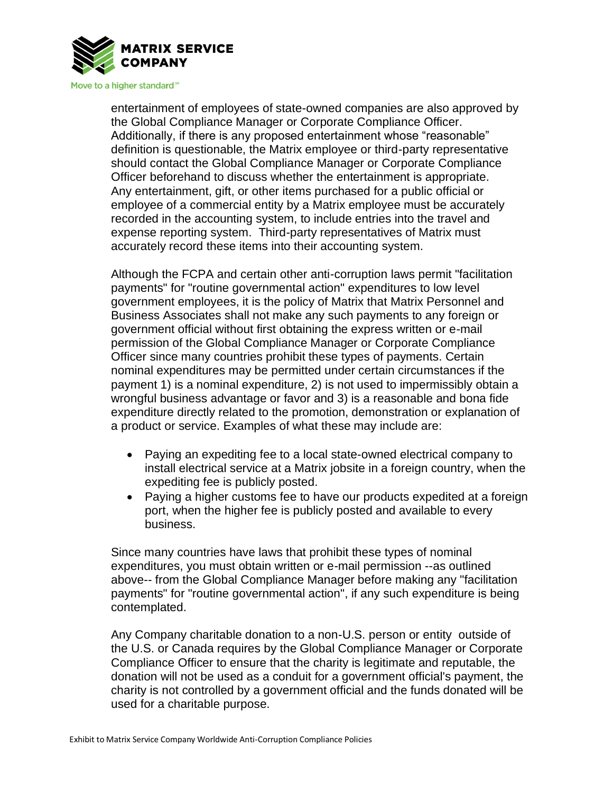

entertainment of employees of state-owned companies are also approved by the Global Compliance Manager or Corporate Compliance Officer. Additionally, if there is any proposed entertainment whose "reasonable" definition is questionable, the Matrix employee or third-party representative should contact the Global Compliance Manager or Corporate Compliance Officer beforehand to discuss whether the entertainment is appropriate. Any entertainment, gift, or other items purchased for a public official or employee of a commercial entity by a Matrix employee must be accurately recorded in the accounting system, to include entries into the travel and expense reporting system. Third-party representatives of Matrix must accurately record these items into their accounting system.

Although the FCPA and certain other anti-corruption laws permit "facilitation payments" for "routine governmental action" expenditures to low level government employees, it is the policy of Matrix that Matrix Personnel and Business Associates shall not make any such payments to any foreign or government official without first obtaining the express written or e-mail permission of the Global Compliance Manager or Corporate Compliance Officer since many countries prohibit these types of payments. Certain nominal expenditures may be permitted under certain circumstances if the payment 1) is a nominal expenditure, 2) is not used to impermissibly obtain a wrongful business advantage or favor and 3) is a reasonable and bona fide expenditure directly related to the promotion, demonstration or explanation of a product or service. Examples of what these may include are:

- Paying an expediting fee to a local state-owned electrical company to install electrical service at a Matrix jobsite in a foreign country, when the expediting fee is publicly posted.
- Paying a higher customs fee to have our products expedited at a foreign port, when the higher fee is publicly posted and available to every business.

Since many countries have laws that prohibit these types of nominal expenditures, you must obtain written or e-mail permission --as outlined above-- from the Global Compliance Manager before making any "facilitation payments" for "routine governmental action", if any such expenditure is being contemplated.

Any Company charitable donation to a non-U.S. person or entity outside of the U.S. or Canada requires by the Global Compliance Manager or Corporate Compliance Officer to ensure that the charity is legitimate and reputable, the donation will not be used as a conduit for a government official's payment, the charity is not controlled by a government official and the funds donated will be used for a charitable purpose.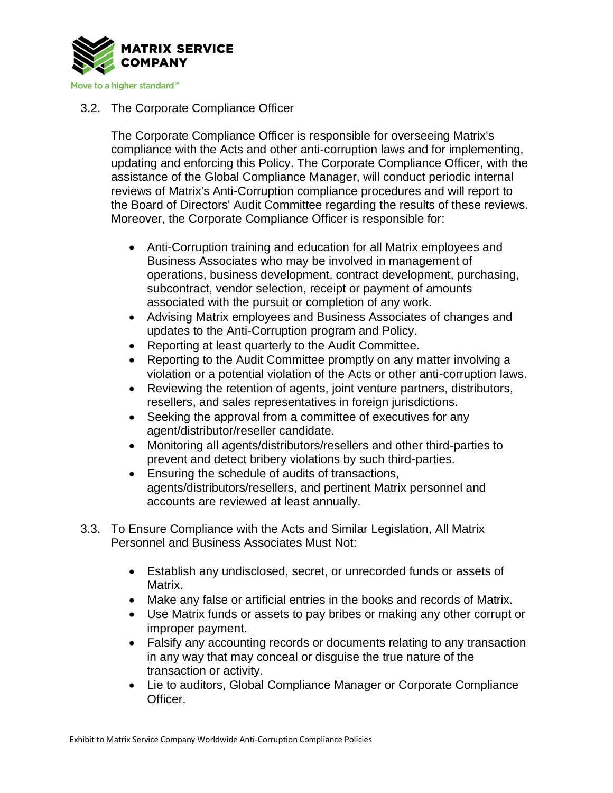

# 3.2. The Corporate Compliance Officer

The Corporate Compliance Officer is responsible for overseeing Matrix's compliance with the Acts and other anti-corruption laws and for implementing, updating and enforcing this Policy. The Corporate Compliance Officer, with the assistance of the Global Compliance Manager, will conduct periodic internal reviews of Matrix's Anti-Corruption compliance procedures and will report to the Board of Directors' Audit Committee regarding the results of these reviews. Moreover, the Corporate Compliance Officer is responsible for:

- Anti-Corruption training and education for all Matrix employees and Business Associates who may be involved in management of operations, business development, contract development, purchasing, subcontract, vendor selection, receipt or payment of amounts associated with the pursuit or completion of any work.
- Advising Matrix employees and Business Associates of changes and updates to the Anti-Corruption program and Policy.
- Reporting at least quarterly to the Audit Committee.
- Reporting to the Audit Committee promptly on any matter involving a violation or a potential violation of the Acts or other anti-corruption laws.
- Reviewing the retention of agents, joint venture partners, distributors, resellers, and sales representatives in foreign jurisdictions.
- Seeking the approval from a committee of executives for any agent/distributor/reseller candidate.
- Monitoring all agents/distributors/resellers and other third-parties to prevent and detect bribery violations by such third-parties.
- Ensuring the schedule of audits of transactions, agents/distributors/resellers, and pertinent Matrix personnel and accounts are reviewed at least annually.
- 3.3. To Ensure Compliance with the Acts and Similar Legislation, All Matrix Personnel and Business Associates Must Not:
	- Establish any undisclosed, secret, or unrecorded funds or assets of Matrix.
	- Make any false or artificial entries in the books and records of Matrix.
	- Use Matrix funds or assets to pay bribes or making any other corrupt or improper payment.
	- Falsify any accounting records or documents relating to any transaction in any way that may conceal or disguise the true nature of the transaction or activity.
	- Lie to auditors, Global Compliance Manager or Corporate Compliance Officer.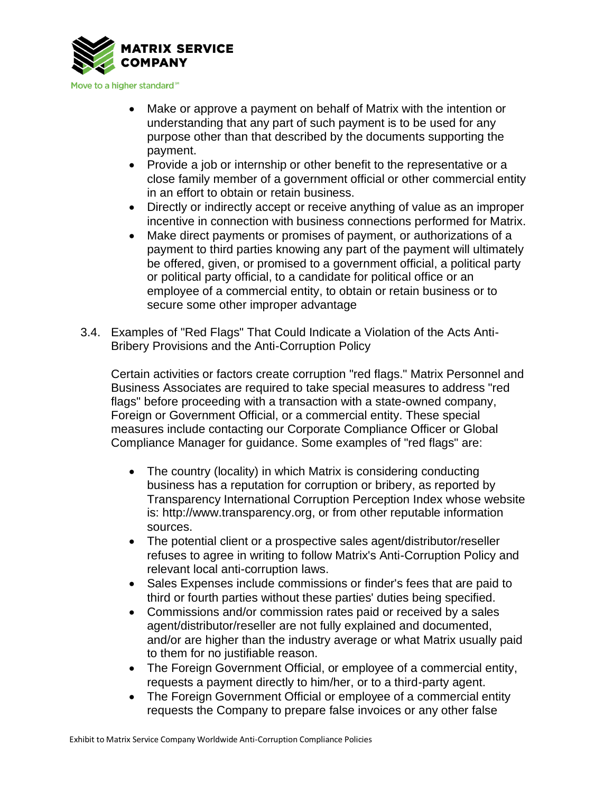

- Make or approve a payment on behalf of Matrix with the intention or understanding that any part of such payment is to be used for any purpose other than that described by the documents supporting the payment.
- Provide a job or internship or other benefit to the representative or a close family member of a government official or other commercial entity in an effort to obtain or retain business.
- Directly or indirectly accept or receive anything of value as an improper incentive in connection with business connections performed for Matrix.
- Make direct payments or promises of payment, or authorizations of a payment to third parties knowing any part of the payment will ultimately be offered, given, or promised to a government official, a political party or political party official, to a candidate for political office or an employee of a commercial entity, to obtain or retain business or to secure some other improper advantage
- 3.4. Examples of "Red Flags" That Could Indicate a Violation of the Acts Anti-Bribery Provisions and the Anti-Corruption Policy

Certain activities or factors create corruption "red flags." Matrix Personnel and Business Associates are required to take special measures to address "red flags" before proceeding with a transaction with a state-owned company, Foreign or Government Official, or a commercial entity. These special measures include contacting our Corporate Compliance Officer or Global Compliance Manager for guidance. Some examples of "red flags" are:

- The country (locality) in which Matrix is considering conducting business has a reputation for corruption or bribery, as reported by Transparency International Corruption Perception Index whose website is: http://www.transparency.org, or from other reputable information sources.
- The potential client or a prospective sales agent/distributor/reseller refuses to agree in writing to follow Matrix's Anti-Corruption Policy and relevant local anti-corruption laws.
- Sales Expenses include commissions or finder's fees that are paid to third or fourth parties without these parties' duties being specified.
- Commissions and/or commission rates paid or received by a sales agent/distributor/reseller are not fully explained and documented, and/or are higher than the industry average or what Matrix usually paid to them for no justifiable reason.
- The Foreign Government Official, or employee of a commercial entity, requests a payment directly to him/her, or to a third-party agent.
- The Foreign Government Official or employee of a commercial entity requests the Company to prepare false invoices or any other false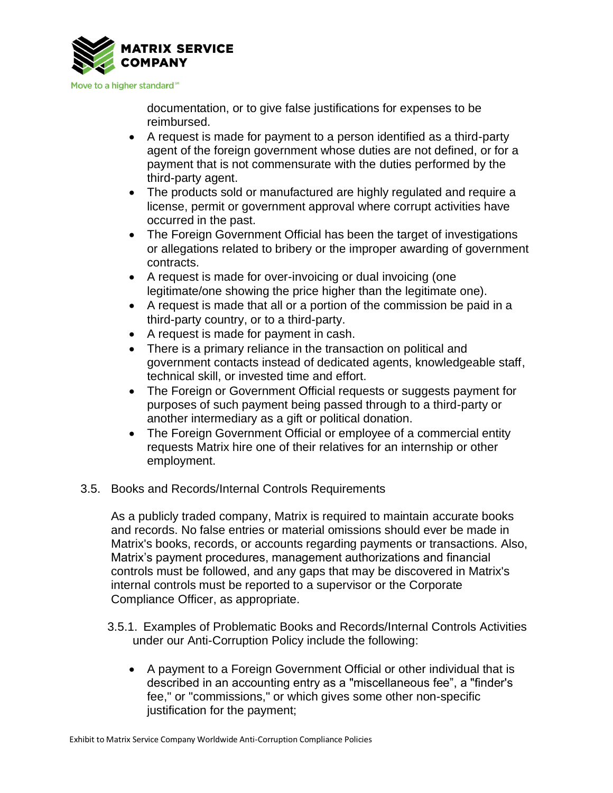

documentation, or to give false justifications for expenses to be reimbursed.

- A request is made for payment to a person identified as a third-party agent of the foreign government whose duties are not defined, or for a payment that is not commensurate with the duties performed by the third-party agent.
- The products sold or manufactured are highly regulated and require a license, permit or government approval where corrupt activities have occurred in the past.
- The Foreign Government Official has been the target of investigations or allegations related to bribery or the improper awarding of government contracts.
- A request is made for over-invoicing or dual invoicing (one legitimate/one showing the price higher than the legitimate one).
- A request is made that all or a portion of the commission be paid in a third-party country, or to a third-party.
- A request is made for payment in cash.
- There is a primary reliance in the transaction on political and government contacts instead of dedicated agents, knowledgeable staff, technical skill, or invested time and effort.
- The Foreign or Government Official requests or suggests payment for purposes of such payment being passed through to a third-party or another intermediary as a gift or political donation.
- The Foreign Government Official or employee of a commercial entity requests Matrix hire one of their relatives for an internship or other employment.
- 3.5. Books and Records/Internal Controls Requirements

As a publicly traded company, Matrix is required to maintain accurate books and records. No false entries or material omissions should ever be made in Matrix's books, records, or accounts regarding payments or transactions. Also, Matrix's payment procedures, management authorizations and financial controls must be followed, and any gaps that may be discovered in Matrix's internal controls must be reported to a supervisor or the Corporate Compliance Officer, as appropriate.

- 3.5.1. Examples of Problematic Books and Records/Internal Controls Activities under our Anti-Corruption Policy include the following:
	- A payment to a Foreign Government Official or other individual that is described in an accounting entry as a "miscellaneous fee", a "finder's fee," or "commissions," or which gives some other non-specific justification for the payment;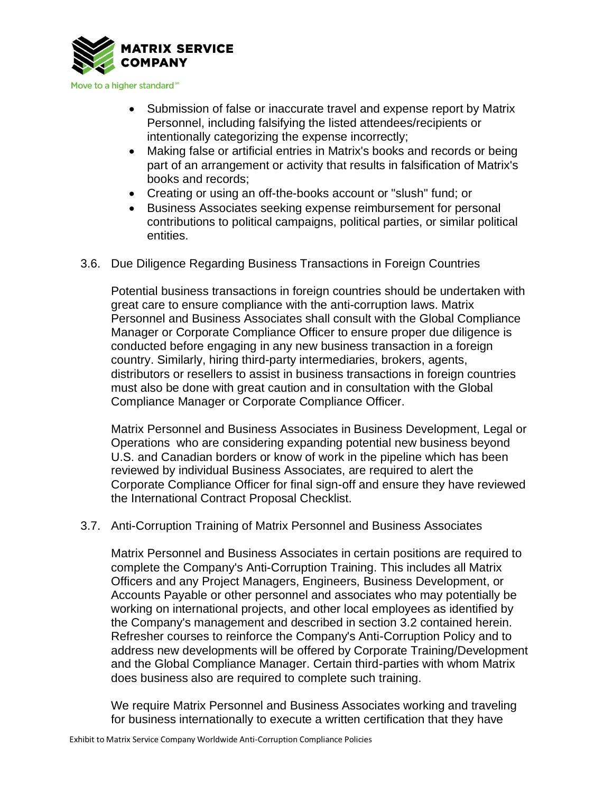

- Submission of false or inaccurate travel and expense report by Matrix Personnel, including falsifying the listed attendees/recipients or intentionally categorizing the expense incorrectly;
- Making false or artificial entries in Matrix's books and records or being part of an arrangement or activity that results in falsification of Matrix's books and records;
- Creating or using an off-the-books account or "slush" fund; or
- Business Associates seeking expense reimbursement for personal contributions to political campaigns, political parties, or similar political entities.
- 3.6. Due Diligence Regarding Business Transactions in Foreign Countries

Potential business transactions in foreign countries should be undertaken with great care to ensure compliance with the anti-corruption laws. Matrix Personnel and Business Associates shall consult with the Global Compliance Manager or Corporate Compliance Officer to ensure proper due diligence is conducted before engaging in any new business transaction in a foreign country. Similarly, hiring third-party intermediaries, brokers, agents, distributors or resellers to assist in business transactions in foreign countries must also be done with great caution and in consultation with the Global Compliance Manager or Corporate Compliance Officer.

Matrix Personnel and Business Associates in Business Development, Legal or Operations who are considering expanding potential new business beyond U.S. and Canadian borders or know of work in the pipeline which has been reviewed by individual Business Associates, are required to alert the Corporate Compliance Officer for final sign-off and ensure they have reviewed the International Contract Proposal Checklist.

### 3.7. Anti-Corruption Training of Matrix Personnel and Business Associates

Matrix Personnel and Business Associates in certain positions are required to complete the Company's Anti-Corruption Training. This includes all Matrix Officers and any Project Managers, Engineers, Business Development, or Accounts Payable or other personnel and associates who may potentially be working on international projects, and other local employees as identified by the Company's management and described in section 3.2 contained herein. Refresher courses to reinforce the Company's Anti-Corruption Policy and to address new developments will be offered by Corporate Training/Development and the Global Compliance Manager. Certain third-parties with whom Matrix does business also are required to complete such training.

We require Matrix Personnel and Business Associates working and traveling for business internationally to execute a written certification that they have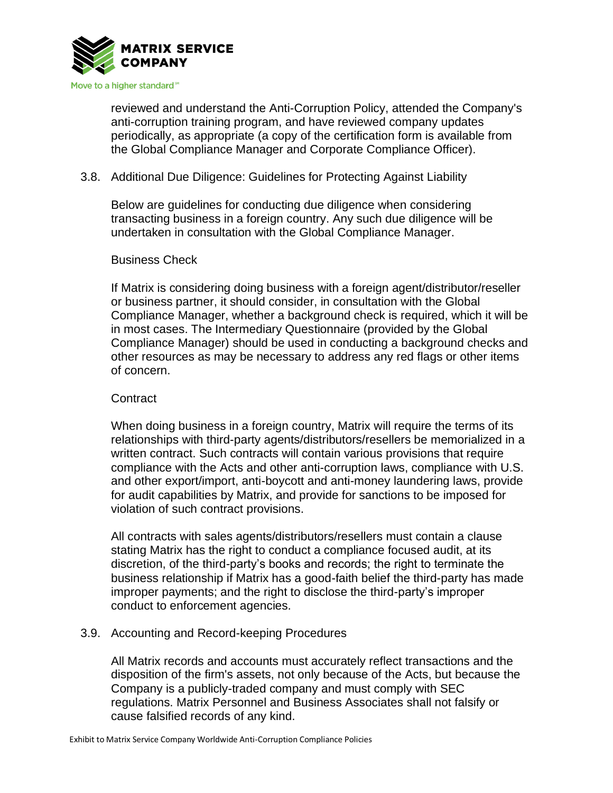

reviewed and understand the Anti-Corruption Policy, attended the Company's anti-corruption training program, and have reviewed company updates periodically, as appropriate (a copy of the certification form is available from the Global Compliance Manager and Corporate Compliance Officer).

### 3.8. Additional Due Diligence: Guidelines for Protecting Against Liability

Below are guidelines for conducting due diligence when considering transacting business in a foreign country. Any such due diligence will be undertaken in consultation with the Global Compliance Manager.

### Business Check

If Matrix is considering doing business with a foreign agent/distributor/reseller or business partner, it should consider, in consultation with the Global Compliance Manager, whether a background check is required, which it will be in most cases. The Intermediary Questionnaire (provided by the Global Compliance Manager) should be used in conducting a background checks and other resources as may be necessary to address any red flags or other items of concern.

#### **Contract**

When doing business in a foreign country, Matrix will require the terms of its relationships with third-party agents/distributors/resellers be memorialized in a written contract. Such contracts will contain various provisions that require compliance with the Acts and other anti-corruption laws, compliance with U.S. and other export/import, anti-boycott and anti-money laundering laws, provide for audit capabilities by Matrix, and provide for sanctions to be imposed for violation of such contract provisions.

All contracts with sales agents/distributors/resellers must contain a clause stating Matrix has the right to conduct a compliance focused audit, at its discretion, of the third-party's books and records; the right to terminate the business relationship if Matrix has a good-faith belief the third-party has made improper payments; and the right to disclose the third-party's improper conduct to enforcement agencies.

### 3.9. Accounting and Record-keeping Procedures

All Matrix records and accounts must accurately reflect transactions and the disposition of the firm's assets, not only because of the Acts, but because the Company is a publicly-traded company and must comply with SEC regulations. Matrix Personnel and Business Associates shall not falsify or cause falsified records of any kind.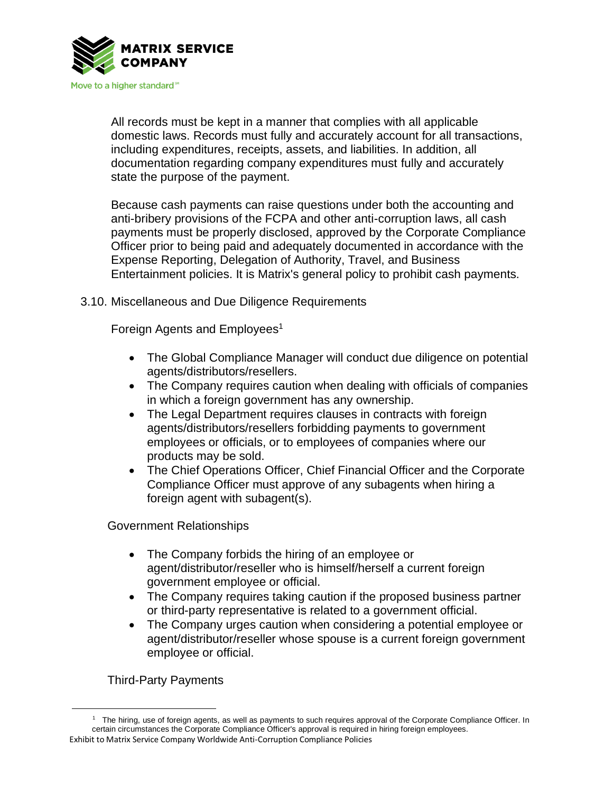

All records must be kept in a manner that complies with all applicable domestic laws. Records must fully and accurately account for all transactions, including expenditures, receipts, assets, and liabilities. In addition, all documentation regarding company expenditures must fully and accurately state the purpose of the payment.

Because cash payments can raise questions under both the accounting and anti-bribery provisions of the FCPA and other anti-corruption laws, all cash payments must be properly disclosed, approved by the Corporate Compliance Officer prior to being paid and adequately documented in accordance with the Expense Reporting, Delegation of Authority, Travel, and Business Entertainment policies. It is Matrix's general policy to prohibit cash payments.

3.10. Miscellaneous and Due Diligence Requirements

Foreign Agents and Employees<sup>1</sup>

- The Global Compliance Manager will conduct due diligence on potential agents/distributors/resellers.
- The Company requires caution when dealing with officials of companies in which a foreign government has any ownership.
- The Legal Department requires clauses in contracts with foreign agents/distributors/resellers forbidding payments to government employees or officials, or to employees of companies where our products may be sold.
- The Chief Operations Officer, Chief Financial Officer and the Corporate Compliance Officer must approve of any subagents when hiring a foreign agent with subagent(s).

Government Relationships

- The Company forbids the hiring of an employee or agent/distributor/reseller who is himself/herself a current foreign government employee or official.
- The Company requires taking caution if the proposed business partner or third-party representative is related to a government official.
- The Company urges caution when considering a potential employee or agent/distributor/reseller whose spouse is a current foreign government employee or official.

Third-Party Payments

Exhibit to Matrix Service Company Worldwide Anti-Corruption Compliance Policies 1 The hiring, use of foreign agents, as well as payments to such requires approval of the Corporate Compliance Officer. In certain circumstances the Corporate Compliance Officer's approval is required in hiring foreign employees.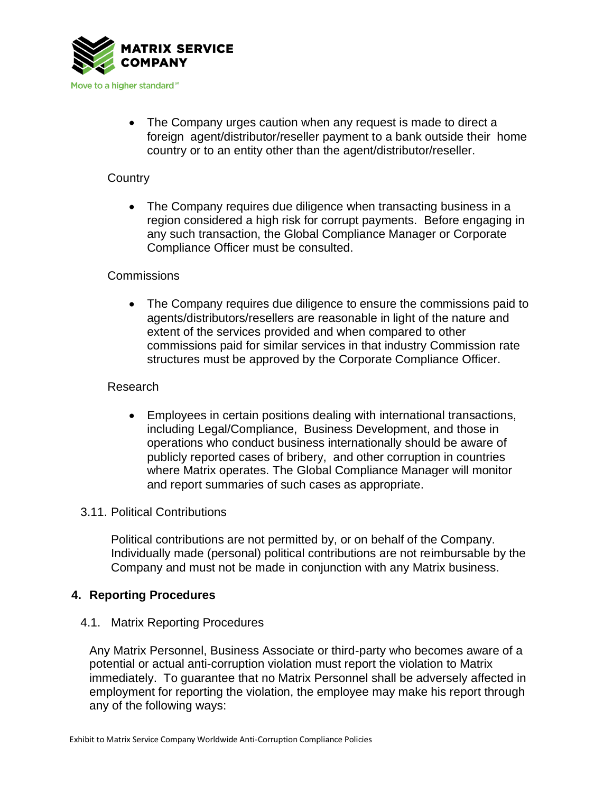

• The Company urges caution when any request is made to direct a foreign agent/distributor/reseller payment to a bank outside their home country or to an entity other than the agent/distributor/reseller.

# **Country**

• The Company requires due diligence when transacting business in a region considered a high risk for corrupt payments. Before engaging in any such transaction, the Global Compliance Manager or Corporate Compliance Officer must be consulted.

# Commissions

• The Company requires due diligence to ensure the commissions paid to agents/distributors/resellers are reasonable in light of the nature and extent of the services provided and when compared to other commissions paid for similar services in that industry Commission rate structures must be approved by the Corporate Compliance Officer.

# Research

• Employees in certain positions dealing with international transactions, including Legal/Compliance, Business Development, and those in operations who conduct business internationally should be aware of publicly reported cases of bribery, and other corruption in countries where Matrix operates. The Global Compliance Manager will monitor and report summaries of such cases as appropriate.

### 3.11. Political Contributions

Political contributions are not permitted by, or on behalf of the Company. Individually made (personal) political contributions are not reimbursable by the Company and must not be made in conjunction with any Matrix business.

### **4. Reporting Procedures**

### 4.1. Matrix Reporting Procedures

Any Matrix Personnel, Business Associate or third-party who becomes aware of a potential or actual anti-corruption violation must report the violation to Matrix immediately. To guarantee that no Matrix Personnel shall be adversely affected in employment for reporting the violation, the employee may make his report through any of the following ways: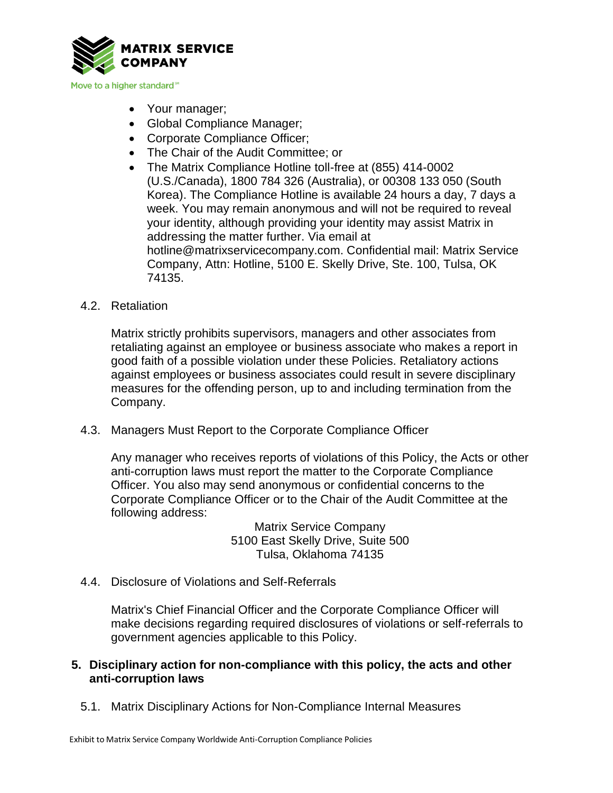

- Your manager;
- Global Compliance Manager;
- Corporate Compliance Officer;
- The Chair of the Audit Committee; or
- The Matrix Compliance Hotline toll-free at (855) 414-0002 (U.S./Canada), 1800 784 326 (Australia), or 00308 133 050 (South Korea). The Compliance Hotline is available 24 hours a day, 7 days a week. You may remain anonymous and will not be required to reveal your identity, although providing your identity may assist Matrix in addressing the matter further. Via email at hotline@matrixservicecompany.com. Confidential mail: Matrix Service Company, Attn: Hotline, 5100 E. Skelly Drive, Ste. 100, Tulsa, OK 74135.
- 4.2. Retaliation

Matrix strictly prohibits supervisors, managers and other associates from retaliating against an employee or business associate who makes a report in good faith of a possible violation under these Policies. Retaliatory actions against employees or business associates could result in severe disciplinary measures for the offending person, up to and including termination from the Company.

4.3. Managers Must Report to the Corporate Compliance Officer

Any manager who receives reports of violations of this Policy, the Acts or other anti-corruption laws must report the matter to the Corporate Compliance Officer. You also may send anonymous or confidential concerns to the Corporate Compliance Officer or to the Chair of the Audit Committee at the following address:

> Matrix Service Company 5100 East Skelly Drive, Suite 500 Tulsa, Oklahoma 74135

4.4. Disclosure of Violations and Self-Referrals

Matrix's Chief Financial Officer and the Corporate Compliance Officer will make decisions regarding required disclosures of violations or self-referrals to government agencies applicable to this Policy.

### **5. Disciplinary action for non-compliance with this policy, the acts and other anti-corruption laws**

5.1. Matrix Disciplinary Actions for Non-Compliance Internal Measures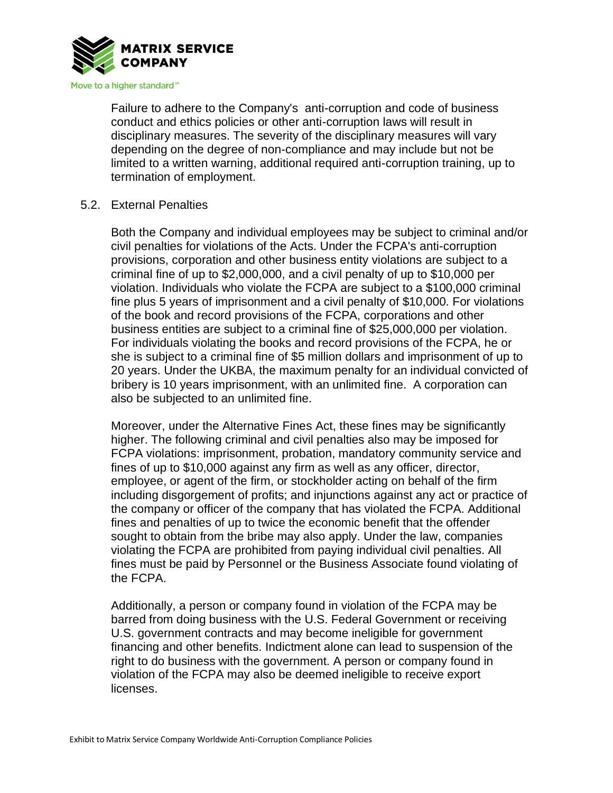

Failure to adhere to the Company's anti-corruption and code of business conduct and ethics policies or other anti-corruption laws will result in disciplinary measures. The severity of the disciplinary measures will vary depending on the degree of non-compliance and may include but not be limited to a written warning, additional required anti-corruption training, up to termination of employment.

### 5.2. External Penalties

Both the Company and individual employees may be subject to criminal and/or civil penalties for violations of the Acts. Under the FCPA's anti-corruption provisions, corporation and other business entity violations are subject to a criminal fine of up to \$2,000,000, and a civil penalty of up to \$10,000 per violation. Individuals who violate the FCPA are subject to a \$100,000 criminal fine plus 5 years of imprisonment and a civil penalty of \$10,000. For violations of the book and record provisions of the FCPA, corporations and other business entities are subject to a criminal fine of \$25,000,000 per violation. For individuals violating the books and record provisions of the FCPA, he or she is subject to a criminal fine of \$5 million dollars and imprisonment of up to 20 years. Under the UKBA, the maximum penalty for an individual convicted of bribery is 10 years imprisonment, with an unlimited fine. A corporation can also be subjected to an unlimited fine.

Moreover, under the Alternative Fines Act, these fines may be significantly higher. The following criminal and civil penalties also may be imposed for FCPA violations: imprisonment, probation, mandatory community service and fines of up to \$10,000 against any firm as well as any officer, director, employee, or agent of the firm, or stockholder acting on behalf of the firm including disgorgement of profits; and injunctions against any act or practice of the company or officer of the company that has violated the FCPA. Additional fines and penalties of up to twice the economic benefit that the offender sought to obtain from the bribe may also apply. Under the law, companies violating the FCPA are prohibited from paying individual civil penalties. All fines must be paid by Personnel or the Business Associate found violating of the FCPA.

Additionally, a person or company found in violation of the FCPA may be barred from doing business with the U.S. Federal Government or receiving U.S. government contracts and may become ineligible for government financing and other benefits. Indictment alone can lead to suspension of the right to do business with the government. A person or company found in violation of the FCPA may also be deemed ineligible to receive export licenses.